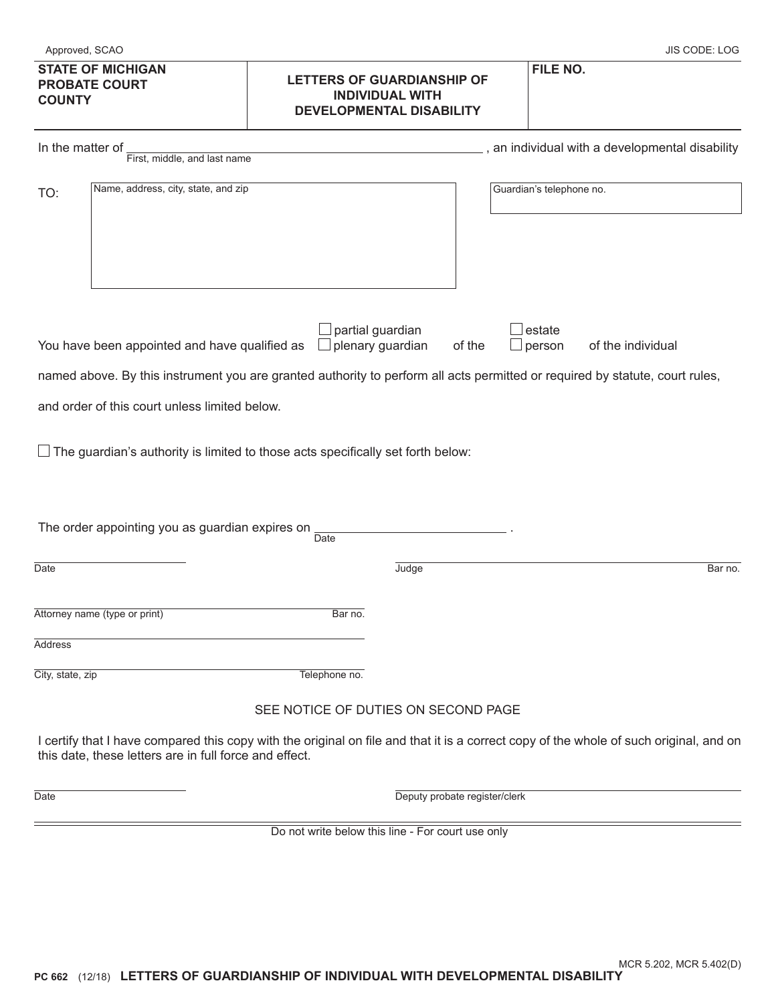| <b>STATE OF MICHIGAN</b><br><b>PROBATE COURT</b><br><b>COUNTY</b>                                                                                                                                                                                                                                                                                                                                                             | <b>LETTERS OF GUARDIANSHIP OF</b><br><b>INDIVIDUAL WITH</b><br><b>DEVELOPMENTAL DISABILITY</b> | FILE NO.                                        |  |  |
|-------------------------------------------------------------------------------------------------------------------------------------------------------------------------------------------------------------------------------------------------------------------------------------------------------------------------------------------------------------------------------------------------------------------------------|------------------------------------------------------------------------------------------------|-------------------------------------------------|--|--|
| In the matter of<br>First, middle, and last name                                                                                                                                                                                                                                                                                                                                                                              |                                                                                                | , an individual with a developmental disability |  |  |
| Name, address, city, state, and zip<br>TO:                                                                                                                                                                                                                                                                                                                                                                                    |                                                                                                | Guardian's telephone no.                        |  |  |
| partial guardian<br>estate<br>$\Box$ plenary guardian<br>You have been appointed and have qualified as<br>of the<br>of the individual<br>person<br>$\Box$<br>named above. By this instrument you are granted authority to perform all acts permitted or required by statute, court rules,<br>and order of this court unless limited below.<br>The guardian's authority is limited to those acts specifically set forth below: |                                                                                                |                                                 |  |  |
|                                                                                                                                                                                                                                                                                                                                                                                                                               |                                                                                                |                                                 |  |  |

| The order appointing you as guardian expires on $\frac{1}{2}$ | Date          |       |         |
|---------------------------------------------------------------|---------------|-------|---------|
| Date                                                          |               | Judge | Bar no. |
| Attorney name (type or print)                                 | Bar no.       |       |         |
| Address                                                       |               |       |         |
| City, state, zip                                              | Telephone no. |       |         |

## SEE NOTICE OF DUTIES ON SECOND PAGE

I certify that I have compared this copy with the original on file and that it is a correct copy of the whole of such original, and on this date, these letters are in full force and effect.

Date **Date Deputy probate register/clerk** 

Do not write below this line - For court use only